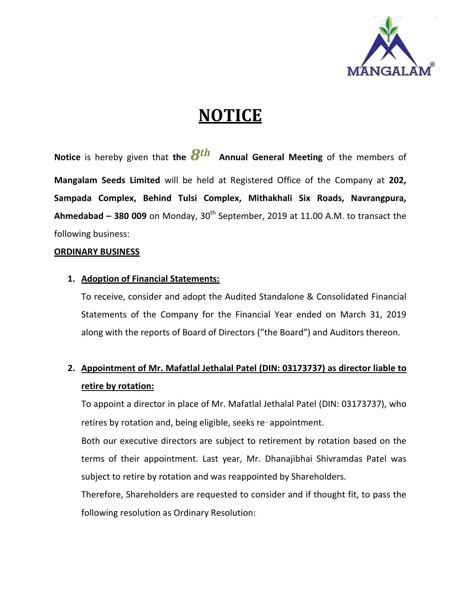

## **NOTICE**

**Notice** is hereby given that **the** *8th* **Annual General Meeting** of the members of **Mangalam Seeds Limited** will be held at Registered Office of the Company at **202, Sampada Complex, Behind Tulsi Complex, Mithakhali Six Roads, Navrangpura, Ahmedabad – 380 009** on Monday, 30th September, 2019 at 11.00 A.M. to transact the following business:

### **ORDINARY BUSINESS**

### **1. Adoption of Financial Statements:**

To receive, consider and adopt the Audited Standalone & Consolidated Financial Statements of the Company for the Financial Year ended on March 31, 2019 along with the reports of Board of Directors ("the Board") and Auditors thereon.

### **2. Appointment of Mr. Mafatlal Jethalal Patel (DIN: 03173737) as director liable to retire by rotation:**

To appoint a director in place of Mr. Mafatlal Jethalal Patel (DIN: 03173737), who retires by rotation and, being eligible, seeks re‑appointment.

Both our executive directors are subject to retirement by rotation based on the terms of their appointment. Last year, Mr. Dhanajibhai Shivramdas Patel was subject to retire by rotation and was reappointed by Shareholders.

Therefore, Shareholders are requested to consider and if thought fit, to pass the following resolution as Ordinary Resolution: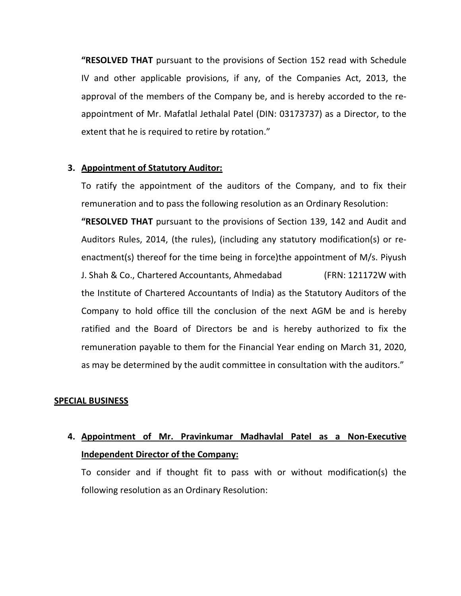**"RESOLVED THAT** pursuant to the provisions of Section 152 read with Schedule IV and other applicable provisions, if any, of the Companies Act, 2013, the approval of the members of the Company be, and is hereby accorded to the reappointment of Mr. Mafatlal Jethalal Patel (DIN: 03173737) as a Director, to the extent that he is required to retire by rotation."

#### **3. Appointment of Statutory Auditor:**

To ratify the appointment of the auditors of the Company, and to fix their remuneration and to pass the following resolution as an Ordinary Resolution:

**"RESOLVED THAT** pursuant to the provisions of Section 139, 142 and Audit and Auditors Rules, 2014, (the rules), (including any statutory modification(s) or reenactment(s) thereof for the time being in force)the appointment of M/s. Piyush J. Shah & Co., Chartered Accountants, Ahmedabad (FRN: 121172W with the Institute of Chartered Accountants of India) as the Statutory Auditors of the Company to hold office till the conclusion of the next AGM be and is hereby ratified and the Board of Directors be and is hereby authorized to fix the remuneration payable to them for the Financial Year ending on March 31, 2020, as may be determined by the audit committee in consultation with the auditors."

#### **SPECIAL BUSINESS**

### **4. Appointment of Mr. Pravinkumar Madhavlal Patel as a Non-Executive Independent Director of the Company:**

To consider and if thought fit to pass with or without modification(s) the following resolution as an Ordinary Resolution: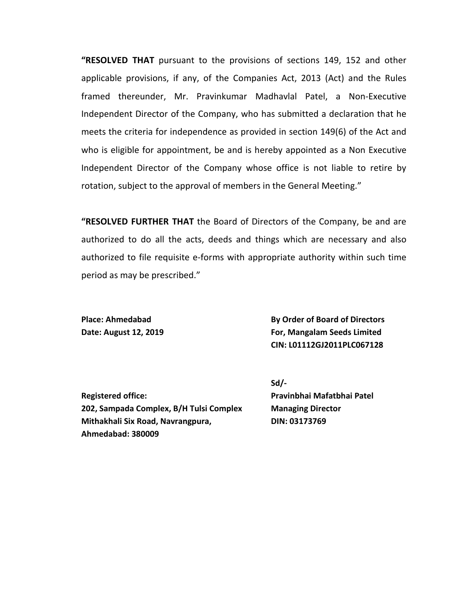**"RESOLVED THAT** pursuant to the provisions of sections 149, 152 and other applicable provisions, if any, of the Companies Act, 2013 (Act) and the Rules framed thereunder, Mr. Pravinkumar Madhavlal Patel, a Non-Executive Independent Director of the Company, who has submitted a declaration that he meets the criteria for independence as provided in section 149(6) of the Act and who is eligible for appointment, be and is hereby appointed as a Non Executive Independent Director of the Company whose office is not liable to retire by rotation, subject to the approval of members in the General Meeting."

**"RESOLVED FURTHER THAT** the Board of Directors of the Company, be and are authorized to do all the acts, deeds and things which are necessary and also authorized to file requisite e-forms with appropriate authority within such time period as may be prescribed."

**Place: Ahmedabad By Order of Board of Directors Date: August 12, 2019 For, Mangalam Seeds Limited CIN: L01112GJ2011PLC067128**

**Registered office: Pravinbhai Mafatbhai Patel 202, Sampada Complex, B/H Tulsi Complex Managing Director Mithakhali Six Road, Navrangpura, DIN: 03173769 Ahmedabad: 380009**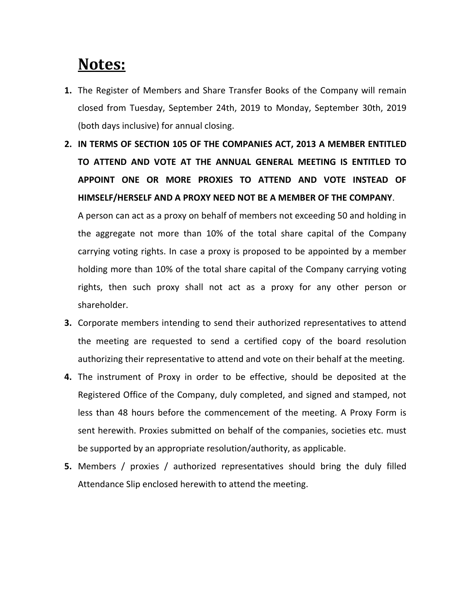## **Notes:**

- **1.** The Register of Members and Share Transfer Books of the Company will remain closed from Tuesday, September 24th, 2019 to Monday, September 30th, 2019 (both days inclusive) for annual closing.
- **2. IN TERMS OF SECTION 105 OF THE COMPANIES ACT, 2013 A MEMBER ENTITLED TO ATTEND AND VOTE AT THE ANNUAL GENERAL MEETING IS ENTITLED TO APPOINT ONE OR MORE PROXIES TO ATTEND AND VOTE INSTEAD OF HIMSELF/HERSELF AND A PROXY NEED NOT BE A MEMBER OF THE COMPANY**.

A person can act as a proxy on behalf of members not exceeding 50 and holding in the aggregate not more than 10% of the total share capital of the Company carrying voting rights. In case a proxy is proposed to be appointed by a member holding more than 10% of the total share capital of the Company carrying voting rights, then such proxy shall not act as a proxy for any other person or shareholder.

- **3.** Corporate members intending to send their authorized representatives to attend the meeting are requested to send a certified copy of the board resolution authorizing their representative to attend and vote on their behalf at the meeting.
- **4.** The instrument of Proxy in order to be effective, should be deposited at the Registered Office of the Company, duly completed, and signed and stamped, not less than 48 hours before the commencement of the meeting. A Proxy Form is sent herewith. Proxies submitted on behalf of the companies, societies etc. must be supported by an appropriate resolution/authority, as applicable.
- **5.** Members / proxies / authorized representatives should bring the duly filled Attendance Slip enclosed herewith to attend the meeting.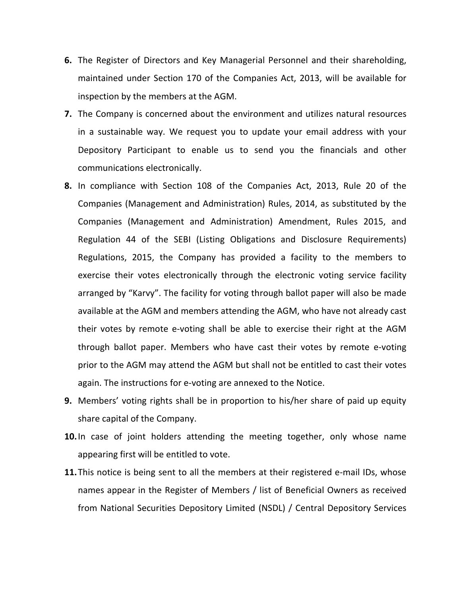- **6.** The Register of Directors and Key Managerial Personnel and their shareholding, maintained under Section 170 of the Companies Act, 2013, will be available for inspection by the members at the AGM.
- **7.** The Company is concerned about the environment and utilizes natural resources in a sustainable way. We request you to update your email address with your Depository Participant to enable us to send you the financials and other communications electronically.
- **8.** In compliance with Section 108 of the Companies Act, 2013, Rule 20 of the Companies (Management and Administration) Rules, 2014, as substituted by the Companies (Management and Administration) Amendment, Rules 2015, and Regulation 44 of the SEBI (Listing Obligations and Disclosure Requirements) Regulations, 2015, the Company has provided a facility to the members to exercise their votes electronically through the electronic voting service facility arranged by "Karvy". The facility for voting through ballot paper will also be made available at the AGM and members attending the AGM, who have not already cast their votes by remote e-voting shall be able to exercise their right at the AGM through ballot paper. Members who have cast their votes by remote e-voting prior to the AGM may attend the AGM but shall not be entitled to cast their votes again. The instructions for e-voting are annexed to the Notice.
- **9.** Members' voting rights shall be in proportion to his/her share of paid up equity share capital of the Company.
- **10.**In case of joint holders attending the meeting together, only whose name appearing first will be entitled to vote.
- **11.**This notice is being sent to all the members at their registered e-mail IDs, whose names appear in the Register of Members / list of Beneficial Owners as received from National Securities Depository Limited (NSDL) / Central Depository Services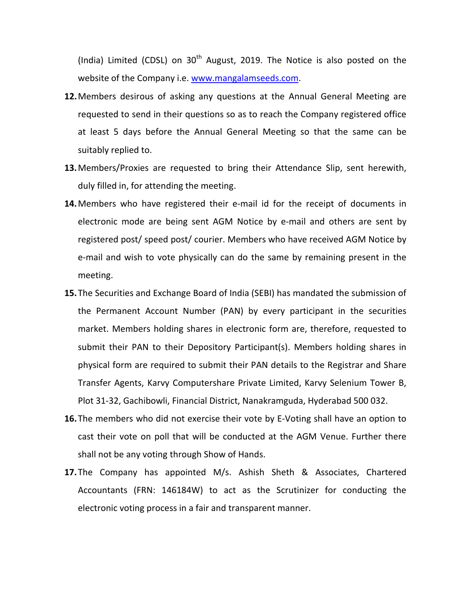(India) Limited (CDSL) on  $30<sup>th</sup>$  August, 2019. The Notice is also posted on the website of the Company i.e. [www.mangalamseeds.com.](http://www.mangalamseeds.com/)

- **12.**Members desirous of asking any questions at the Annual General Meeting are requested to send in their questions so as to reach the Company registered office at least 5 days before the Annual General Meeting so that the same can be suitably replied to.
- **13.**Members/Proxies are requested to bring their Attendance Slip, sent herewith, duly filled in, for attending the meeting.
- **14.**Members who have registered their e-mail id for the receipt of documents in electronic mode are being sent AGM Notice by e-mail and others are sent by registered post/ speed post/ courier. Members who have received AGM Notice by e-mail and wish to vote physically can do the same by remaining present in the meeting.
- **15.**The Securities and Exchange Board of India (SEBI) has mandated the submission of the Permanent Account Number (PAN) by every participant in the securities market. Members holding shares in electronic form are, therefore, requested to submit their PAN to their Depository Participant(s). Members holding shares in physical form are required to submit their PAN details to the Registrar and Share Transfer Agents, Karvy Computershare Private Limited, Karvy Selenium Tower B, Plot 31-32, Gachibowli, Financial District, Nanakramguda, Hyderabad 500 032.
- **16.**The members who did not exercise their vote by E-Voting shall have an option to cast their vote on poll that will be conducted at the AGM Venue. Further there shall not be any voting through Show of Hands.
- **17.**The Company has appointed M/s. Ashish Sheth & Associates, Chartered Accountants (FRN: 146184W) to act as the Scrutinizer for conducting the electronic voting process in a fair and transparent manner.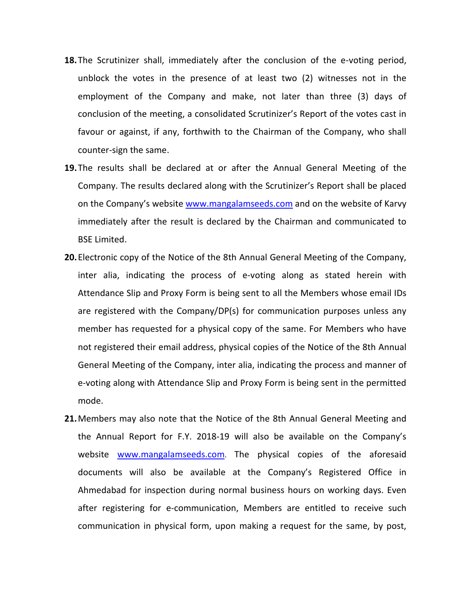- **18.**The Scrutinizer shall, immediately after the conclusion of the e-voting period, unblock the votes in the presence of at least two (2) witnesses not in the employment of the Company and make, not later than three (3) days of conclusion of the meeting, a consolidated Scrutinizer's Report of the votes cast in favour or against, if any, forthwith to the Chairman of the Company, who shall counter-sign the same.
- **19.**The results shall be declared at or after the Annual General Meeting of the Company. The results declared along with the Scrutinizer's Report shall be placed on the Company's website [www.mangalamseeds.com](http://www.mangalamseeds.com/) and on the website of Karvy immediately after the result is declared by the Chairman and communicated to BSE Limited.
- **20.**Electronic copy of the Notice of the 8th Annual General Meeting of the Company, inter alia, indicating the process of e-voting along as stated herein with Attendance Slip and Proxy Form is being sent to all the Members whose email IDs are registered with the Company/DP(s) for communication purposes unless any member has requested for a physical copy of the same. For Members who have not registered their email address, physical copies of the Notice of the 8th Annual General Meeting of the Company, inter alia, indicating the process and manner of e-voting along with Attendance Slip and Proxy Form is being sent in the permitted mode.
- **21.**Members may also note that the Notice of the 8th Annual General Meeting and the Annual Report for F.Y. 2018-19 will also be available on the Company's website [www.mangalamseeds.com.](http://www.mangalamseeds.com/) The physical copies of the aforesaid documents will also be available at the Company's Registered Office in Ahmedabad for inspection during normal business hours on working days. Even after registering for e-communication, Members are entitled to receive such communication in physical form, upon making a request for the same, by post,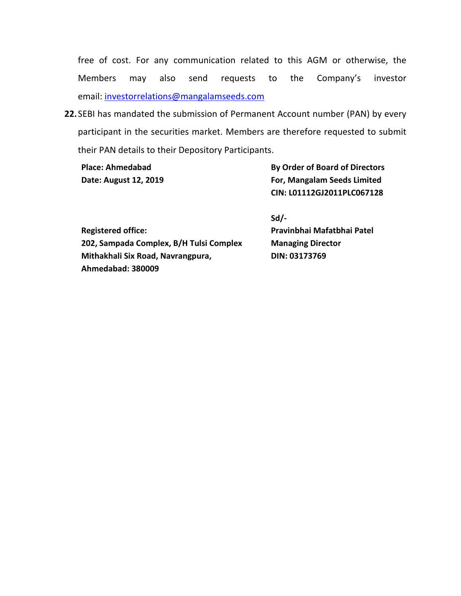free of cost. For any communication related to this AGM or otherwise, the Members may also send requests to the Company's investor email: [investorrelations@mangalamseeds.com](mailto:investorrelations@mangalamseeds.com)

**22.**SEBI has mandated the submission of Permanent Account number (PAN) by every participant in the securities market. Members are therefore requested to submit their PAN details to their Depository Participants.

**Place: Ahmedabad By Order of Board of Directors Date: August 12, 2019 For, Mangalam Seeds Limited CIN: L01112GJ2011PLC067128**

|                                         | JW.                        |
|-----------------------------------------|----------------------------|
| <b>Registered office:</b>               | Pravinbhai Mafatbhai Patel |
| 202, Sampada Complex, B/H Tulsi Complex | <b>Managing Director</b>   |
| Mithakhali Six Road, Navrangpura,       | DIN: 03173769              |
| Ahmedabad: 380009                       |                            |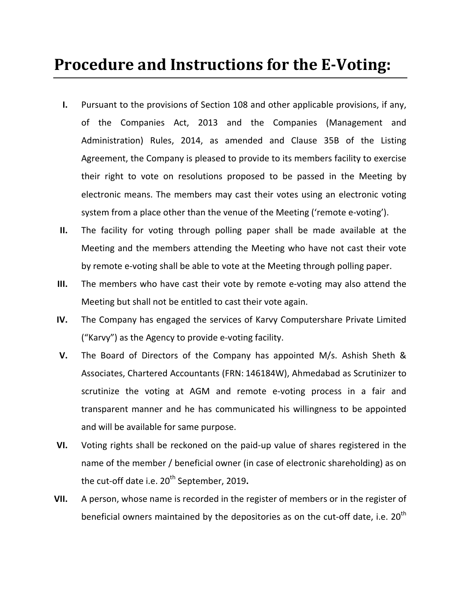## **Procedure and Instructions for the E-Voting:**

- **I.** Pursuant to the provisions of Section 108 and other applicable provisions, if any, of the Companies Act, 2013 and the Companies (Management and Administration) Rules, 2014, as amended and Clause 35B of the Listing Agreement, the Company is pleased to provide to its members facility to exercise their right to vote on resolutions proposed to be passed in the Meeting by electronic means. The members may cast their votes using an electronic voting system from a place other than the venue of the Meeting ('remote e-voting').
- **II.** The facility for voting through polling paper shall be made available at the Meeting and the members attending the Meeting who have not cast their vote by remote e-voting shall be able to vote at the Meeting through polling paper.
- **III.** The members who have cast their vote by remote e-voting may also attend the Meeting but shall not be entitled to cast their vote again.
- **IV.** The Company has engaged the services of Karvy Computershare Private Limited ("Karvy") as the Agency to provide e-voting facility.
- **V.** The Board of Directors of the Company has appointed M/s. Ashish Sheth & Associates, Chartered Accountants (FRN: 146184W), Ahmedabad as Scrutinizer to scrutinize the voting at AGM and remote e-voting process in a fair and transparent manner and he has communicated his willingness to be appointed and will be available for same purpose.
- **VI.** Voting rights shall be reckoned on the paid-up value of shares registered in the name of the member / beneficial owner (in case of electronic shareholding) as on the cut-off date i.e. 20<sup>th</sup> September, 2019.
- **VII.** A person, whose name is recorded in the register of members or in the register of beneficial owners maintained by the depositories as on the cut-off date, i.e.  $20^{\text{th}}$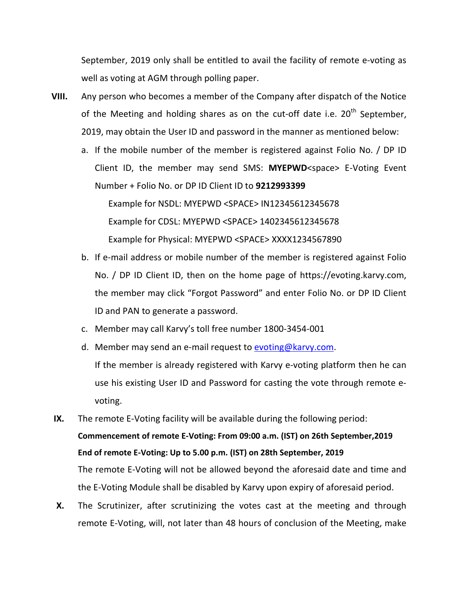September, 2019 only shall be entitled to avail the facility of remote e-voting as well as voting at AGM through polling paper.

- **VIII.** Any person who becomes a member of the Company after dispatch of the Notice of the Meeting and holding shares as on the cut-off date i.e.  $20^{th}$  September, 2019, may obtain the User ID and password in the manner as mentioned below:
	- a. If the mobile number of the member is registered against Folio No. / DP ID Client ID, the member may send SMS: **MYEPWD**<space> E-Voting Event Number + Folio No. or DP ID Client ID to **9212993399** Example for NSDL: MYEPWD <SPACE> IN12345612345678 Example for CDSL: MYEPWD <SPACE> 1402345612345678 Example for Physical: MYEPWD <SPACE> XXXX1234567890
	- b. If e-mail address or mobile number of the member is registered against Folio No. / DP ID Client ID, then on the home page of https://evoting.karvy.com, the member may click "Forgot Password" and enter Folio No. or DP ID Client ID and PAN to generate a password.
	- c. Member may call Karvy's toll free number 1800-3454-001
	- d. Member may send an e-mail request to [evoting@karvy.com.](mailto:evoting@karvy.com) If the member is already registered with Karvy e-voting platform then he can use his existing User ID and Password for casting the vote through remote evoting.

**IX.** The remote E-Voting facility will be available during the following period: **Commencement of remote E-Voting: From 09:00 a.m. (IST) on 26th September,2019 End of remote E-Voting: Up to 5.00 p.m. (IST) on 28th September, 2019** The remote E-Voting will not be allowed beyond the aforesaid date and time and the E-Voting Module shall be disabled by Karvy upon expiry of aforesaid period.

**X.** The Scrutinizer, after scrutinizing the votes cast at the meeting and through remote E-Voting, will, not later than 48 hours of conclusion of the Meeting, make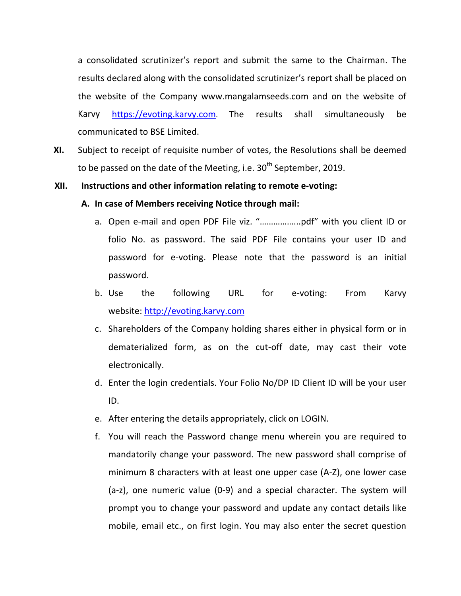a consolidated scrutinizer's report and submit the same to the Chairman. The results declared along with the consolidated scrutinizer's report shall be placed on the website of the Company www.mangalamseeds.com and on the website of Karvy [https://evoting.karvy.com.](https://evoting.karvy.com/) The results shall simultaneously be communicated to BSE Limited.

**XI.** Subject to receipt of requisite number of votes, the Resolutions shall be deemed to be passed on the date of the Meeting, i.e.  $30<sup>th</sup>$  September, 2019.

#### **XII. Instructions and other information relating to remote e-voting:**

#### **A. In case of Members receiving Notice through mail:**

- a. Open e-mail and open PDF File viz. "……………...pdf" with you client ID or folio No. as password. The said PDF File contains your user ID and password for e-voting. Please note that the password is an initial password.
- b. Use the following URL for e-voting: From Karvy website: [http://evoting.karvy.com](http://evoting.karvy.com/)
- c. Shareholders of the Company holding shares either in physical form or in dematerialized form, as on the cut-off date, may cast their vote electronically.
- d. Enter the login credentials. Your Folio No/DP ID Client ID will be your user ID.
- e. After entering the details appropriately, click on LOGIN.
- f. You will reach the Password change menu wherein you are required to mandatorily change your password. The new password shall comprise of minimum 8 characters with at least one upper case (A-Z), one lower case (a-z), one numeric value (0-9) and a special character. The system will prompt you to change your password and update any contact details like mobile, email etc., on first login. You may also enter the secret question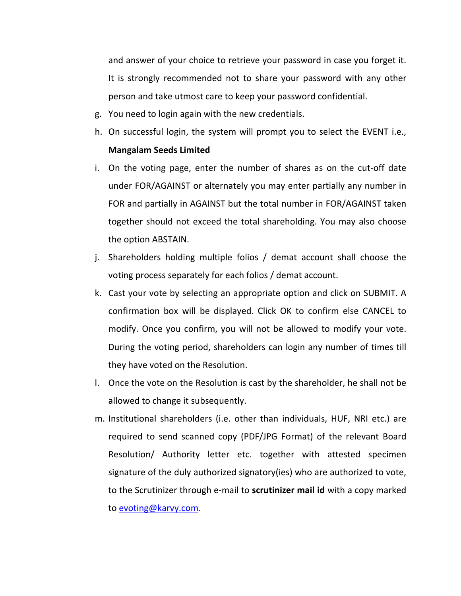and answer of your choice to retrieve your password in case you forget it. It is strongly recommended not to share your password with any other person and take utmost care to keep your password confidential.

- g. You need to login again with the new credentials.
- h. On successful login, the system will prompt you to select the EVENT i.e., **Mangalam Seeds Limited**
- i. On the voting page, enter the number of shares as on the cut-off date under FOR/AGAINST or alternately you may enter partially any number in FOR and partially in AGAINST but the total number in FOR/AGAINST taken together should not exceed the total shareholding. You may also choose the option ABSTAIN.
- j. Shareholders holding multiple folios / demat account shall choose the voting process separately for each folios / demat account.
- k. Cast your vote by selecting an appropriate option and click on SUBMIT. A confirmation box will be displayed. Click OK to confirm else CANCEL to modify. Once you confirm, you will not be allowed to modify your vote. During the voting period, shareholders can login any number of times till they have voted on the Resolution.
- l. Once the vote on the Resolution is cast by the shareholder, he shall not be allowed to change it subsequently.
- m. Institutional shareholders (i.e. other than individuals, HUF, NRI etc.) are required to send scanned copy (PDF/JPG Format) of the relevant Board Resolution/ Authority letter etc. together with attested specimen signature of the duly authorized signatory(ies) who are authorized to vote, to the Scrutinizer through e-mail to **scrutinizer mail id** with a copy marked to [evoting@karvy.com.](mailto:evoting@karvy.com)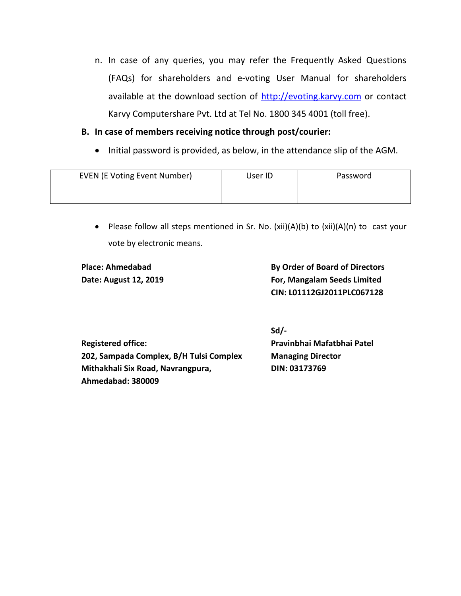n. In case of any queries, you may refer the Frequently Asked Questions (FAQs) for shareholders and e-voting User Manual for shareholders available at the download section of [http://evoting.karvy.com](http://evoting.karvy.com/) or contact Karvy Computershare Pvt. Ltd at Tel No. 1800 345 4001 (toll free).

### **B. In case of members receiving notice through post/courier:**

• Initial password is provided, as below, in the attendance slip of the AGM.

| <b>EVEN (E Voting Event Number)</b> | User ID | Password |
|-------------------------------------|---------|----------|
|                                     |         |          |

• Please follow all steps mentioned in Sr. No. (xii)(A)(b) to (xii)(A)(n) to cast your vote by electronic means.

**Place: Ahmedabad By Order of Board of Directors Date: August 12, 2019 For, Mangalam Seeds Limited CIN: L01112GJ2011PLC067128**

**Registered office: Pravinbhai Mafatbhai Patel 202, Sampada Complex, B/H Tulsi Complex Managing Director Mithakhali Six Road, Navrangpura, DIN: 03173769 Ahmedabad: 380009**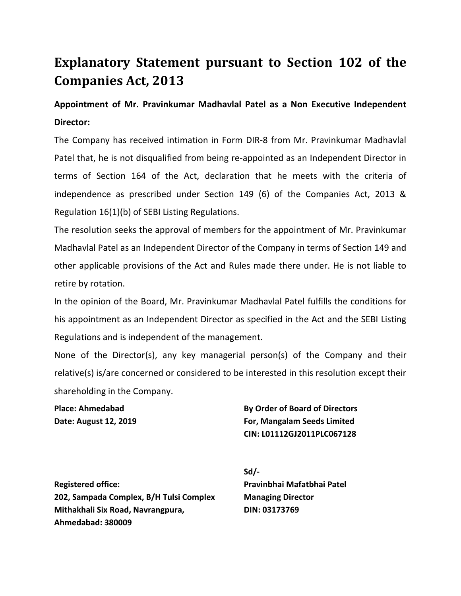### **Explanatory Statement pursuant to Section 102 of the Companies Act, 2013**

### **Appointment of Mr. Pravinkumar Madhavlal Patel as a Non Executive Independent Director:**

The Company has received intimation in Form DIR-8 from Mr. Pravinkumar Madhavlal Patel that, he is not disqualified from being re-appointed as an Independent Director in terms of Section 164 of the Act, declaration that he meets with the criteria of independence as prescribed under Section 149 (6) of the Companies Act, 2013 & Regulation 16(1)(b) of SEBI Listing Regulations.

The resolution seeks the approval of members for the appointment of Mr. Pravinkumar Madhavlal Patel as an Independent Director of the Company in terms of Section 149 and other applicable provisions of the Act and Rules made there under. He is not liable to retire by rotation.

In the opinion of the Board, Mr. Pravinkumar Madhavlal Patel fulfills the conditions for his appointment as an Independent Director as specified in the Act and the SEBI Listing Regulations and is independent of the management.

None of the Director(s), any key managerial person(s) of the Company and their relative(s) is/are concerned or considered to be interested in this resolution except their shareholding in the Company.

**Place: Ahmedabad By Order of Board of Directors Date: August 12, 2019 For, Mangalam Seeds Limited CIN: L01112GJ2011PLC067128**

**Registered office: Pravinbhai Mafatbhai Patel 202, Sampada Complex, B/H Tulsi Complex Managing Director Mithakhali Six Road, Navrangpura, DIN: 03173769 Ahmedabad: 380009**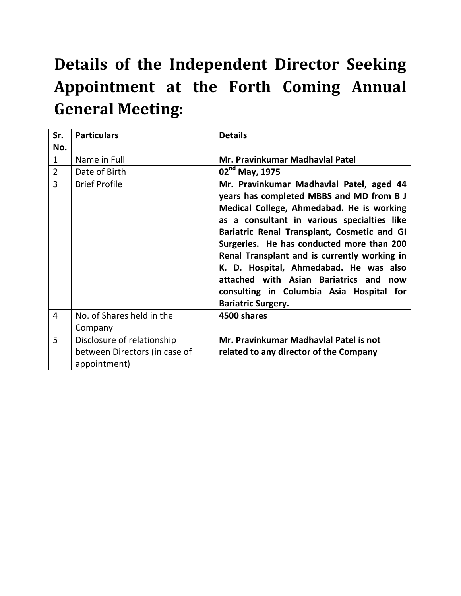# **Details of the Independent Director Seeking Appointment at the Forth Coming Annual General Meeting:**

| Sr.<br>No.     | <b>Particulars</b>                                                          | <b>Details</b>                                                                                                                                                                                                                                                                                                                                                                                                                                                                               |
|----------------|-----------------------------------------------------------------------------|----------------------------------------------------------------------------------------------------------------------------------------------------------------------------------------------------------------------------------------------------------------------------------------------------------------------------------------------------------------------------------------------------------------------------------------------------------------------------------------------|
| $\mathbf{1}$   | Name in Full                                                                | Mr. Pravinkumar Madhavlal Patel                                                                                                                                                                                                                                                                                                                                                                                                                                                              |
| $\overline{2}$ | Date of Birth                                                               | 02 <sup>nd</sup> May, 1975                                                                                                                                                                                                                                                                                                                                                                                                                                                                   |
| 3              | <b>Brief Profile</b>                                                        | Mr. Pravinkumar Madhavlal Patel, aged 44<br>years has completed MBBS and MD from B J<br>Medical College, Ahmedabad. He is working<br>as a consultant in various specialties like<br>Bariatric Renal Transplant, Cosmetic and GI<br>Surgeries. He has conducted more than 200<br>Renal Transplant and is currently working in<br>K. D. Hospital, Ahmedabad. He was also<br>attached with Asian Bariatrics and<br>now<br>consulting in Columbia Asia Hospital for<br><b>Bariatric Surgery.</b> |
| $\overline{4}$ | No. of Shares held in the<br>Company                                        | 4500 shares                                                                                                                                                                                                                                                                                                                                                                                                                                                                                  |
| 5              | Disclosure of relationship<br>between Directors (in case of<br>appointment) | Mr. Pravinkumar Madhavlal Patel is not<br>related to any director of the Company                                                                                                                                                                                                                                                                                                                                                                                                             |